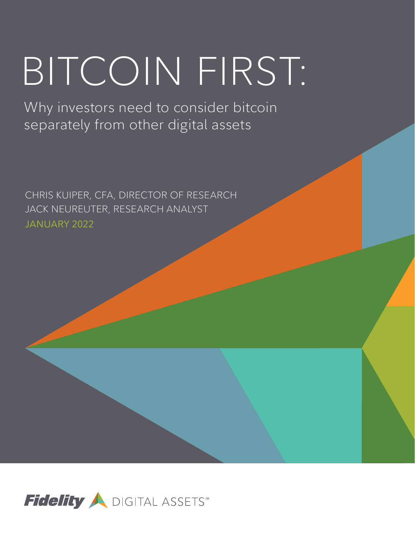# BITCOIN FIRST:

Why investors need to consider bitcoin separately from other digital assets

CHRIS KUIPER, CFA, DIRECTOR OF RESEARCH JACK NEUREUTER, RESEARCH ANALYST JANUARY 2022

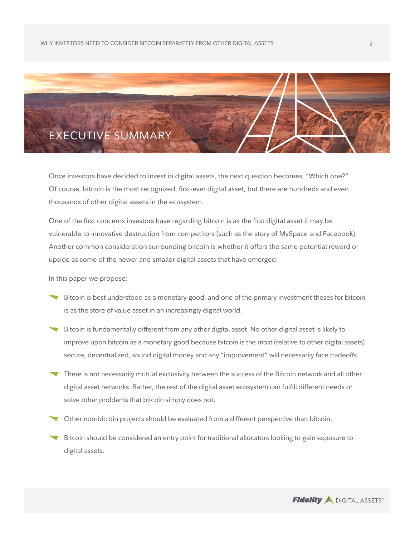

Once investors have decided to invest in digital assets, the next question becomes, "Which one?" Of course, bitcoin is the most recognized, first-ever digital asset, but there are hundreds and even thousands of other digital assets in the ecosystem.

One of the first concerns investors have regarding bitcoin is as the first digital asset it may be vulnerable to innovative destruction from competitors (such as the story of MySpace and Facebook). Another common consideration surrounding bitcoin is whether it offers the same potential reward or upside as some of the newer and smaller digital assets that have emerged.

In this paper we propose:

- Bitcoin is best understood as a monetary good, and one of the primary investment theses for bitcoin is as the store of value asset in an increasingly digital world.
- Bitcoin is fundamentally different from any other digital asset. No other digital asset is likely to improve upon bitcoin as a monetary good because bitcoin is the most (relative to other digital assets) secure, decentralized, sound digital money and any "improvement" will necessarily face tradeoffs.
- There is not necessarily mutual exclusivity between the success of the Bitcoin network and all other digital asset networks. Rather, the rest of the digital asset ecosystem can fulfill different needs or solve other problems that bitcoin simply does not.
- Other non-bitcoin projects should be evaluated from a different perspective than bitcoin.
- Bitcoin should be considered an entry point for traditional allocators looking to gain exposure to digital assets.

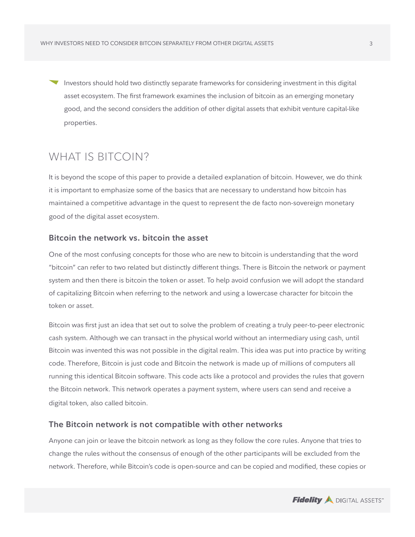Investors should hold two distinctly separate frameworks for considering investment in this digital asset ecosystem. The first framework examines the inclusion of bitcoin as an emerging monetary good, and the second considers the addition of other digital assets that exhibit venture capital-like properties.

# WHAT IS BITCOIN?

It is beyond the scope of this paper to provide a detailed explanation of bitcoin. However, we do think it is important to emphasize some of the basics that are necessary to understand how bitcoin has maintained a competitive advantage in the quest to represent the de facto non-sovereign monetary good of the digital asset ecosystem.

# **Bitcoin the network vs. bitcoin the asset**

One of the most confusing concepts for those who are new to bitcoin is understanding that the word "bitcoin" can refer to two related but distinctly different things. There is Bitcoin the network or payment system and then there is bitcoin the token or asset. To help avoid confusion we will adopt the standard of capitalizing Bitcoin when referring to the network and using a lowercase character for bitcoin the token or asset.

Bitcoin was first just an idea that set out to solve the problem of creating a truly peer-to-peer electronic cash system. Although we can transact in the physical world without an intermediary using cash, until Bitcoin was invented this was not possible in the digital realm. This idea was put into practice by writing code. Therefore, Bitcoin is just code and Bitcoin the network is made up of millions of computers all running this identical Bitcoin software. This code acts like a protocol and provides the rules that govern the Bitcoin network. This network operates a payment system, where users can send and receive a digital token, also called bitcoin.

# **The Bitcoin network is not compatible with other networks**

Anyone can join or leave the bitcoin network as long as they follow the core rules. Anyone that tries to change the rules without the consensus of enough of the other participants will be excluded from the network. Therefore, while Bitcoin's code is open-source and can be copied and modified, these copies or

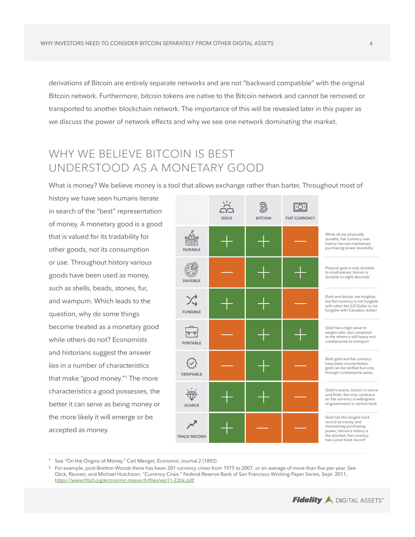derivations of Bitcoin are entirely separate networks and are not "backward compatible" with the original Bitcoin network. Furthermore, bitcoin tokens are native to the Bitcoin network and cannot be removed or transported to another blockchain network. The importance of this will be revealed later in this paper as we discuss the power of network effects and why we see one network dominating the market.

# WHY WE BELIEVE BITCOIN IS BEST UNDERSTOOD AS A MONETARY GOOD

What is money? We believe money is a tool that allows exchange rather than barter. Throughout most of

history we have seen humans iterate in search of the "best" representation of money. A monetary good is a good that is valued for its tradability for other goods, not its consumption or use. Throughout history various goods have been used as money, such as shells, beads, stones, fur, and wampum. Which leads to the question, why do some things become treated as a monetary good while others do not? Economists and historians suggest the answer lies in a number of characteristics that make "good money."1 The more characteristics a good possesses, the better it can serve as being money or the more likely it will emerge or be accepted as money.



**<sup>1</sup>** See "On the Origins of Money," Carl Menger, Economic Journal 2 (1892)



**<sup>2</sup>** For example, post-Bretton Woods there has been 201 currency crises from 1975 to 2007, or an average of more than five per year. See Glick, Reuven, and Michael Hutchison. "Currency Crisis." Federal Reserve Bank of San Francisco Working Paper Series, Sept. 2011, <https://www.frbsf.org/economic-research/files/wp11-22bk.pdf>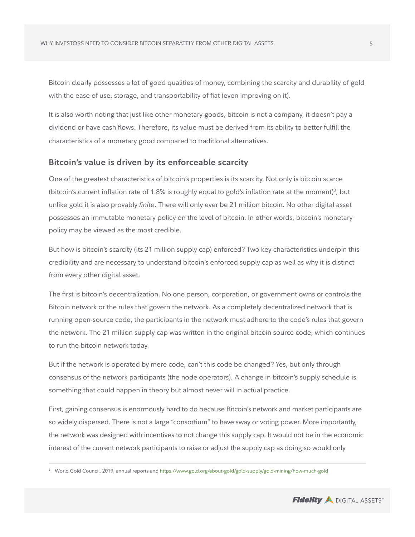Bitcoin clearly possesses a lot of good qualities of money, combining the scarcity and durability of gold with the ease of use, storage, and transportability of fiat (even improving on it).

It is also worth noting that just like other monetary goods, bitcoin is not a company, it doesn't pay a dividend or have cash flows. Therefore, its value must be derived from its ability to better fulfill the characteristics of a monetary good compared to traditional alternatives.

# **Bitcoin's value is driven by its enforceable scarcity**

One of the greatest characteristics of bitcoin's properties is its scarcity. Not only is bitcoin scarce (bitcoin's current inflation rate of 1.8% is roughly equal to gold's inflation rate at the moment)<sup>3</sup>, but unlike gold it is also provably *finite*. There will only ever be 21 million bitcoin. No other digital asset possesses an immutable monetary policy on the level of bitcoin. In other words, bitcoin's monetary policy may be viewed as the most credible.

But how is bitcoin's scarcity (its 21 million supply cap) enforced? Two key characteristics underpin this credibility and are necessary to understand bitcoin's enforced supply cap as well as why it is distinct from every other digital asset.

The first is bitcoin's decentralization. No one person, corporation, or government owns or controls the Bitcoin network or the rules that govern the network. As a completely decentralized network that is running open-source code, the participants in the network must adhere to the code's rules that govern the network. The 21 million supply cap was written in the original bitcoin source code, which continues to run the bitcoin network today.

But if the network is operated by mere code, can't this code be changed? Yes, but only through consensus of the network participants (the node operators). A change in bitcoin's supply schedule is something that could happen in theory but almost never will in actual practice.

First, gaining consensus is enormously hard to do because Bitcoin's network and market participants are so widely dispersed. There is not a large "consortium" to have sway or voting power. More importantly, the network was designed with incentives to not change this supply cap. It would not be in the economic interest of the current network participants to raise or adjust the supply cap as doing so would only



**<sup>3</sup>** World Gold Council, 2019, annual reports and <https://www.gold.org/about-gold/gold-supply/gold-mining/how-much-gold>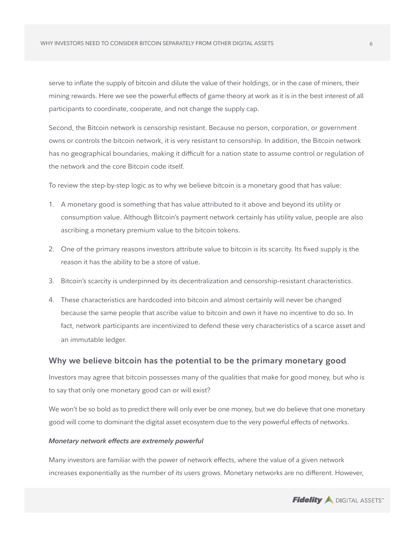serve to inflate the supply of bitcoin and dilute the value of their holdings, or in the case of miners, their mining rewards. Here we see the powerful effects of game theory at work as it is in the best interest of all participants to coordinate, cooperate, and not change the supply cap.

Second, the Bitcoin network is censorship resistant. Because no person, corporation, or government owns or controls the bitcoin network, it is very resistant to censorship. In addition, the Bitcoin network has no geographical boundaries, making it difficult for a nation state to assume control or regulation of the network and the core Bitcoin code itself.

To review the step-by-step logic as to why we believe bitcoin is a monetary good that has value:

- 1. A monetary good is something that has value attributed to it above and beyond its utility or consumption value. Although Bitcoin's payment network certainly has utility value, people are also ascribing a monetary premium value to the bitcoin tokens.
- 2. One of the primary reasons investors attribute value to bitcoin is its scarcity. Its fixed supply is the reason it has the ability to be a store of value.
- 3. Bitcoin's scarcity is underpinned by its decentralization and censorship-resistant characteristics.
- 4. These characteristics are hardcoded into bitcoin and almost certainly will never be changed because the same people that ascribe value to bitcoin and own it have no incentive to do so. In fact, network participants are incentivized to defend these very characteristics of a scarce asset and an immutable ledger.

# **Why we believe bitcoin has the potential to be the primary monetary good**

Investors may agree that bitcoin possesses many of the qualities that make for good money, but who is to say that only one monetary good can or will exist?

We won't be so bold as to predict there will only ever be one money, but we do believe that one monetary good will come to dominant the digital asset ecosystem due to the very powerful effects of networks.

#### *Monetary network effects are extremely powerful*

Many investors are familiar with the power of network effects, where the value of a given network increases exponentially as the number of its users grows. Monetary networks are no different. However,

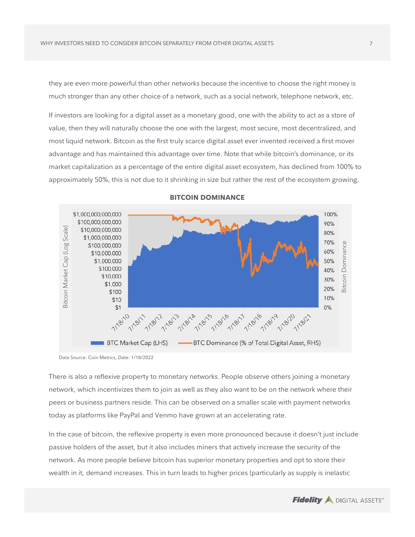they are even more powerful than other networks because the incentive to choose the right money is much stronger than any other choice of a network, such as a social network, telephone network, etc.

If investors are looking for a digital asset as a monetary good, one with the ability to act as a store of value, then they will naturally choose the one with the largest, most secure, most decentralized, and most liquid network. Bitcoin as the first truly scarce digital asset ever invented received a first mover advantage and has maintained this advantage over time. Note that while bitcoin's dominance, or its market capitalization as a percentage of the entire digital asset ecosystem, has declined from 100% to approximately 50%, this is not due to it shrinking in size but rather the rest of the ecosystem growing.



## **BITCOIN DOMINANCE**

Data Source: Coin Metrics, Date: 1/18/2022

There is also a reflexive property to monetary networks. People observe others joining a monetary network, which incentivizes them to join as well as they also want to be on the network where their peers or business partners reside. This can be observed on a smaller scale with payment networks today as platforms like PayPal and Venmo have grown at an accelerating rate.

In the case of bitcoin, the reflexive property is even more pronounced because it doesn't just include passive holders of the asset, but it also includes miners that actively increase the security of the network. As more people believe bitcoin has superior monetary properties and opt to store their wealth in it, demand increases. This in turn leads to higher prices (particularly as supply is inelastic

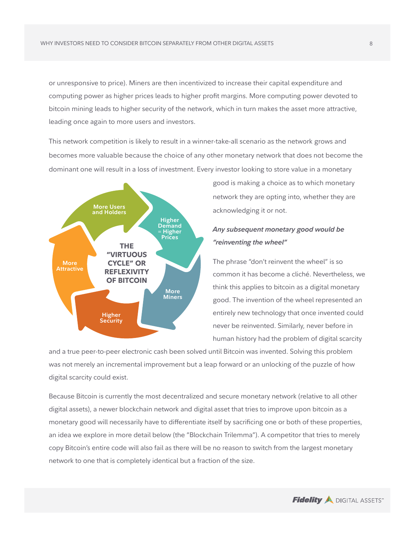or unresponsive to price). Miners are then incentivized to increase their capital expenditure and computing power as higher prices leads to higher profit margins. More computing power devoted to bitcoin mining leads to higher security of the network, which in turn makes the asset more attractive, leading once again to more users and investors.

This network competition is likely to result in a winner-take-all scenario as the network grows and becomes more valuable because the choice of any other monetary network that does not become the dominant one will result in a loss of investment. Every investor looking to store value in a monetary



good is making a choice as to which monetary network they are opting into, whether they are acknowledging it or not.

# *Any subsequent monetary good would be "reinventing the wheel"*

The phrase "don't reinvent the wheel" is so common it has become a cliché. Nevertheless, we think this applies to bitcoin as a digital monetary good. The invention of the wheel represented an entirely new technology that once invented could never be reinvented. Similarly, never before in human history had the problem of digital scarcity

and a true peer-to-peer electronic cash been solved until Bitcoin was invented. Solving this problem was not merely an incremental improvement but a leap forward or an unlocking of the puzzle of how digital scarcity could exist.

Because Bitcoin is currently the most decentralized and secure monetary network (relative to all other digital assets), a newer blockchain network and digital asset that tries to improve upon bitcoin as a monetary good will necessarily have to differentiate itself by sacrificing one or both of these properties, an idea we explore in more detail below (the "Blockchain Trilemma"). A competitor that tries to merely copy Bitcoin's entire code will also fail as there will be no reason to switch from the largest monetary network to one that is completely identical but a fraction of the size.

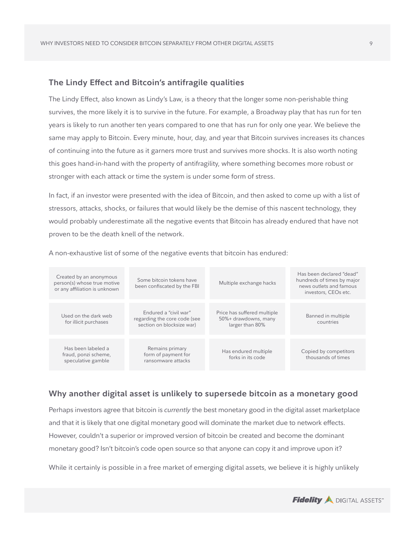# **The Lindy Effect and Bitcoin's antifragile qualities**

The Lindy Effect, also known as Lindy's Law, is a theory that the longer some non-perishable thing survives, the more likely it is to survive in the future. For example, a Broadway play that has run for ten years is likely to run another ten years compared to one that has run for only one year. We believe the same may apply to Bitcoin. Every minute, hour, day, and year that Bitcoin survives increases its chances of continuing into the future as it garners more trust and survives more shocks. It is also worth noting this goes hand-in-hand with the property of antifragility, where something becomes more robust or stronger with each attack or time the system is under some form of stress.

In fact, if an investor were presented with the idea of Bitcoin, and then asked to come up with a list of stressors, attacks, shocks, or failures that would likely be the demise of this nascent technology, they would probably underestimate all the negative events that Bitcoin has already endured that have not proven to be the death knell of the network.

| Created by an anonymous<br>person(s) whose true motive<br>or any affiliation is unknown | Some bitcoin tokens have<br>been confiscated by the FBI                            | Multiple exchange hacks                                                | Has been declared "dead"<br>hundreds of times by major<br>news outlets and famous<br>investors, CEOs etc. |
|-----------------------------------------------------------------------------------------|------------------------------------------------------------------------------------|------------------------------------------------------------------------|-----------------------------------------------------------------------------------------------------------|
| Used on the dark web<br>for illicit purchases                                           | Endured a "civil war"<br>regarding the core code (see<br>section on blocksize war) | Price has suffered multiple<br>50%+ drawdowns, many<br>larger than 80% | Banned in multiple<br>countries                                                                           |
| Has been labeled a<br>fraud, ponzi scheme,<br>speculative gamble                        | Remains primary<br>form of payment for<br>ransomware attacks                       | Has endured multiple<br>forks in its code                              | Copied by competitors<br>thousands of times                                                               |

A non-exhaustive list of some of the negative events that bitcoin has endured:

# **Why another digital asset is unlikely to supersede bitcoin as a monetary good**

Perhaps investors agree that bitcoin is *currently* the best monetary good in the digital asset marketplace and that it is likely that one digital monetary good will dominate the market due to network effects. However, couldn't a superior or improved version of bitcoin be created and become the dominant monetary good? Isn't bitcoin's code open source so that anyone can copy it and improve upon it?

While it certainly is possible in a free market of emerging digital assets, we believe it is highly unlikely

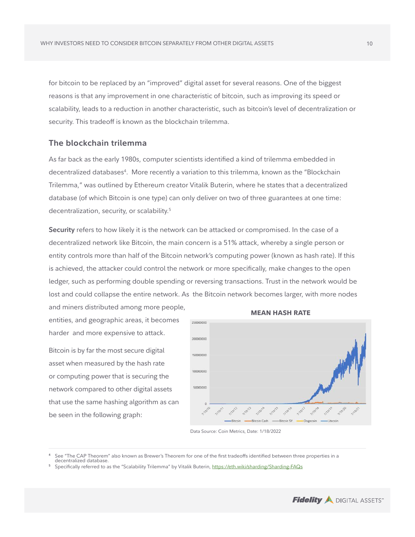for bitcoin to be replaced by an "improved" digital asset for several reasons. One of the biggest reasons is that any improvement in one characteristic of bitcoin, such as improving its speed or scalability, leads to a reduction in another characteristic, such as bitcoin's level of decentralization or security. This tradeoff is known as the blockchain trilemma.

# **The blockchain trilemma**

As far back as the early 1980s, computer scientists identified a kind of trilemma embedded in decentralized databases<sup>4</sup>. More recently a variation to this trilemma, known as the "Blockchain Trilemma," was outlined by Ethereum creator Vitalik Buterin, where he states that a decentralized database (of which Bitcoin is one type) can only deliver on two of three guarantees at one time: decentralization, security, or scalability.<sup>5</sup>

**Security** refers to how likely it is the network can be attacked or compromised. In the case of a decentralized network like Bitcoin, the main concern is a 51% attack, whereby a single person or entity controls more than half of the Bitcoin network's computing power (known as hash rate). If this is achieved, the attacker could control the network or more specifically, make changes to the open ledger, such as performing double spending or reversing transactions. Trust in the network would be lost and could collapse the entire network. As the Bitcoin network becomes larger, with more nodes and miners distributed among more people,

entities, and geographic areas, it becomes harder and more expensive to attack.

Bitcoin is by far the most secure digital asset when measured by the hash rate or computing power that is securing the network compared to other digital assets that use the same hashing algorithm as can be seen in the following graph:



Data Source: Coin Metrics, Date: 1/18/2022



**<sup>4</sup>** See "The CAP Theorem" also known as Brewer's Theorem for one of the first tradeoffs identified between three properties in a decentralized database.

**<sup>5</sup>** Specifically referred to as the "Scalability Trilemma" by Vitalik Buterin, <https://eth.wiki/sharding/Sharding-FAQs>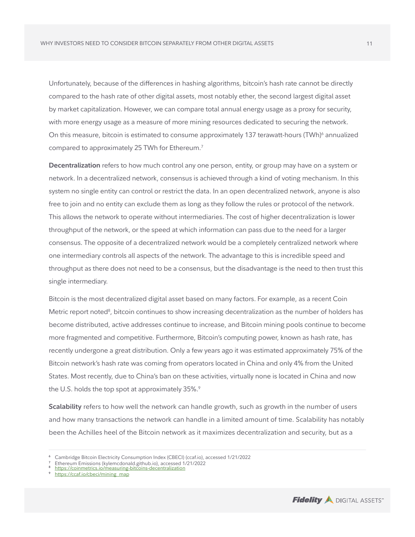Unfortunately, because of the differences in hashing algorithms, bitcoin's hash rate cannot be directly compared to the hash rate of other digital assets, most notably ether, the second largest digital asset by market capitalization. However, we can compare total annual energy usage as a proxy for security, with more energy usage as a measure of more mining resources dedicated to securing the network. On this measure, bitcoin is estimated to consume approximately 137 terawatt-hours (TWh) $^6$  annualized compared to approximately 25 TWh for Ethereum.<sup>7</sup>

**Decentralization** refers to how much control any one person, entity, or group may have on a system or network. In a decentralized network, consensus is achieved through a kind of voting mechanism. In this system no single entity can control or restrict the data. In an open decentralized network, anyone is also free to join and no entity can exclude them as long as they follow the rules or protocol of the network. This allows the network to operate without intermediaries. The cost of higher decentralization is lower throughput of the network, or the speed at which information can pass due to the need for a larger consensus. The opposite of a decentralized network would be a completely centralized network where one intermediary controls all aspects of the network. The advantage to this is incredible speed and throughput as there does not need to be a consensus, but the disadvantage is the need to then trust this single intermediary.

Bitcoin is the most decentralized digital asset based on many factors. For example, as a recent Coin Metric report noted<sup>8</sup>, bitcoin continues to show increasing decentralization as the number of holders has become distributed, active addresses continue to increase, and Bitcoin mining pools continue to become more fragmented and competitive. Furthermore, Bitcoin's computing power, known as hash rate, has recently undergone a great distribution. Only a few years ago it was estimated approximately 75% of the Bitcoin network's hash rate was coming from operators located in China and only 4% from the United States. Most recently, due to China's ban on these activities, virtually none is located in China and now the U.S. holds the top spot at approximately 35%.<sup>9</sup>

**Scalability** refers to how well the network can handle growth, such as growth in the number of users and how many transactions the network can handle in a limited amount of time. Scalability has notably been the Achilles heel of the Bitcoin network as it maximizes decentralization and security, but as a



**<sup>6</sup>** Cambridge Bitcoin Electricity Consumption Index (CBECI) (ccaf.io), accessed 1/21/2022

**<sup>7</sup>** Ethereum Emissions (kylemcdonald.github.io), accessed 1/21/2022 **<sup>8</sup>** <https://coinmetrics.io/measuring-bitcoins-decentralization>

**<sup>9</sup>** [https://ccaf.io/cbeci/mining\\_map](https://ccaf.io/cbeci/mining_map)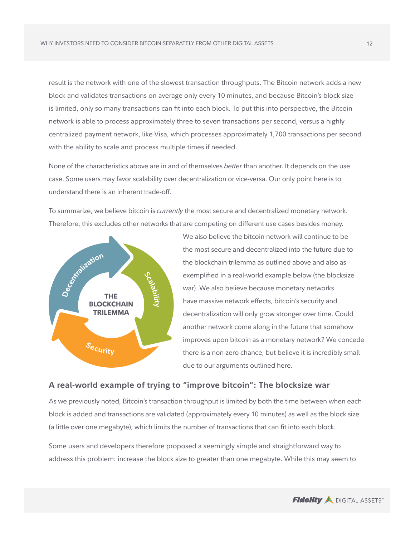result is the network with one of the slowest transaction throughputs. The Bitcoin network adds a new block and validates transactions on average only every 10 minutes, and because Bitcoin's block size is limited, only so many transactions can fit into each block. To put this into perspective, the Bitcoin network is able to process approximately three to seven transactions per second, versus a highly centralized payment network, like Visa, which processes approximately 1,700 transactions per second with the ability to scale and process multiple times if needed.

None of the characteristics above are in and of themselves *better* than another. It depends on the use case. Some users may favor scalability over decentralization or vice-versa. Our only point here is to understand there is an inherent trade-off.

To summarize, we believe bitcoin is *currently* the most secure and decentralized monetary network. Therefore, this excludes other networks that are competing on different use cases besides money.



We also believe the bitcoin network will continue to be the most secure and decentralized into the future due to the blockchain trilemma as outlined above and also as exemplified in a real-world example below (the blocksize war). We also believe because monetary networks have massive network effects, bitcoin's security and decentralization will only grow stronger over time. Could another network come along in the future that somehow improves upon bitcoin as a monetary network? We concede there is a non-zero chance, but believe it is incredibly small due to our arguments outlined here.

# **A real-world example of trying to "improve bitcoin": The blocksize war**

As we previously noted, Bitcoin's transaction throughput is limited by both the time between when each block is added and transactions are validated (approximately every 10 minutes) as well as the block size (a little over one megabyte), which limits the number of transactions that can fit into each block.

Some users and developers therefore proposed a seemingly simple and straightforward way to address this problem: increase the block size to greater than one megabyte. While this may seem to

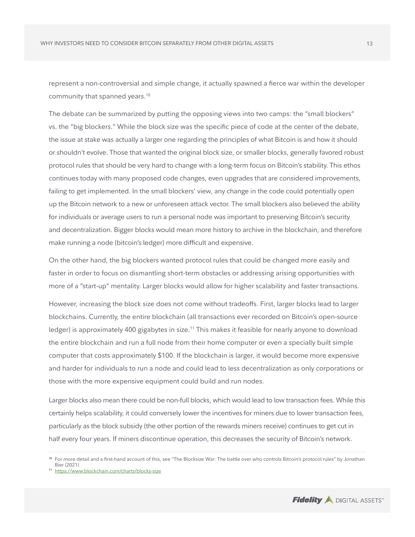represent a non-controversial and simple change, it actually spawned a fierce war within the developer community that spanned years.<sup>10</sup>

The debate can be summarized by putting the opposing views into two camps: the "small blockers" vs. the "big blockers." While the block size was the specific piece of code at the center of the debate, the issue at stake was actually a larger one regarding the principles of what Bitcoin is and how it should or shouldn't evolve. Those that wanted the original block size, or smaller blocks, generally favored robust protocol rules that should be very hard to change with a long-term focus on Bitcoin's stability. This ethos continues today with many proposed code changes, even upgrades that are considered improvements, failing to get implemented. In the small blockers' view, any change in the code could potentially open up the Bitcoin network to a new or unforeseen attack vector. The small blockers also believed the ability for individuals or average users to run a personal node was important to preserving Bitcoin's security and decentralization. Bigger blocks would mean more history to archive in the blockchain, and therefore make running a node (bitcoin's ledger) more difficult and expensive.

On the other hand, the big blockers wanted protocol rules that could be changed more easily and faster in order to focus on dismantling short-term obstacles or addressing arising opportunities with more of a "start-up" mentality. Larger blocks would allow for higher scalability and faster transactions.

However, increasing the block size does not come without tradeoffs. First, larger blocks lead to larger blockchains. Currently, the entire blockchain (all transactions ever recorded on Bitcoin's open-source ledger) is approximately 400 gigabytes in size.<sup>11</sup> This makes it feasible for nearly anyone to download the entire blockchain and run a full node from their home computer or even a specially built simple computer that costs approximately \$100. If the blockchain is larger, it would become more expensive and harder for individuals to run a node and could lead to less decentralization as only corporations or those with the more expensive equipment could build and run nodes.

Larger blocks also mean there could be non-full blocks, which would lead to low transaction fees. While this certainly helps scalability, it could conversely lower the incentives for miners due to lower transaction fees, particularly as the block subsidy (the other portion of the rewards miners receive) continues to get cut in half every four years. If miners discontinue operation, this decreases the security of Bitcoin's network.



**<sup>10</sup>** For more detail and a first-hand account of this, see "The Blocksize War: The battle over who controls Bitcoin's protocol rules" by Jonathan Bier (2021)

**<sup>11</sup>** <https://www.blockchain.com/charts/blocks-size>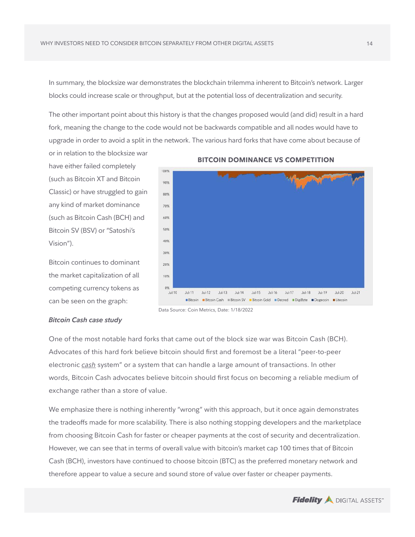In summary, the blocksize war demonstrates the blockchain trilemma inherent to Bitcoin's network. Larger blocks could increase scale or throughput, but at the potential loss of decentralization and security.

The other important point about this history is that the changes proposed would (and did) result in a hard fork, meaning the change to the code would not be backwards compatible and all nodes would have to upgrade in order to avoid a split in the network. The various hard forks that have come about because of

have either failed completely (such as Bitcoin XT and Bitcoin Classic) or have struggled to gain any kind of market dominance (such as Bitcoin Cash (BCH) and Bitcoin SV (BSV) or "Satoshi's Vision").

or in relation to the blocksize war

Bitcoin continues to dominant the market capitalization of all competing currency tokens as can be seen on the graph:



#### **BITCOIN DOMINANCE VS COMPETITION**

#### *Bitcoin Cash case study*

One of the most notable hard forks that came out of the block size war was Bitcoin Cash (BCH). Advocates of this hard fork believe bitcoin should first and foremost be a literal "peer-to-peer electronic *cash* system" or a system that can handle a large amount of transactions. In other words, Bitcoin Cash advocates believe bitcoin should first focus on becoming a reliable medium of exchange rather than a store of value.

We emphasize there is nothing inherently "wrong" with this approach, but it once again demonstrates the tradeoffs made for more scalability. There is also nothing stopping developers and the marketplace from choosing Bitcoin Cash for faster or cheaper payments at the cost of security and decentralization. However, we can see that in terms of overall value with bitcoin's market cap 100 times that of Bitcoin Cash (BCH), investors have continued to choose bitcoin (BTC) as the preferred monetary network and therefore appear to value a secure and sound store of value over faster or cheaper payments.



Data Source: Coin Metrics, Date: 1/18/2022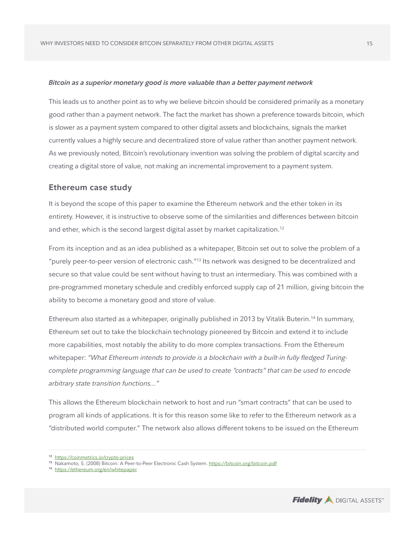#### *Bitcoin as a superior monetary good is more valuable than a better payment network*

This leads us to another point as to why we believe bitcoin should be considered primarily as a monetary good rather than a payment network. The fact the market has shown a preference towards bitcoin, which is slower as a payment system compared to other digital assets and blockchains, signals the market currently values a highly secure and decentralized store of value rather than another payment network. As we previously noted, Bitcoin's revolutionary invention was solving the problem of digital scarcity and creating a digital store of value, not making an incremental improvement to a payment system.

#### **Ethereum case study**

It is beyond the scope of this paper to examine the Ethereum network and the ether token in its entirety. However, it is instructive to observe some of the similarities and differences between bitcoin and ether, which is the second largest digital asset by market capitalization.<sup>12</sup>

From its inception and as an idea published as a whitepaper, Bitcoin set out to solve the problem of a "purely peer-to-peer version of electronic cash."13 Its network was designed to be decentralized and secure so that value could be sent without having to trust an intermediary. This was combined with a pre-programmed monetary schedule and credibly enforced supply cap of 21 million, giving bitcoin the ability to become a monetary good and store of value.

Ethereum also started as a whitepaper, originally published in 2013 by Vitalik Buterin.<sup>14</sup> In summary, Ethereum set out to take the blockchain technology pioneered by Bitcoin and extend it to include more capabilities, most notably the ability to do more complex transactions. From the Ethereum whitepaper: *"What Ethereum intends to provide is a blockchain with a built-in fully fledged Turingcomplete programming language that can be used to create "contracts" that can be used to encode arbitrary state transition functions…"*

This allows the Ethereum blockchain network to host and run "smart contracts" that can be used to program all kinds of applications. It is for this reason some like to refer to the Ethereum network as a "distributed world computer." The network also allows different tokens to be issued on the Ethereum



**<sup>12</sup>** [https://coinmetrics.io/crypto-prices](https://coinmetrics.io/crypto-prices/)

**<sup>13</sup>** Nakamoto, S. (2008) Bitcoin: A Peer-to-Peer Electronic Cash System. <https://bitcoin.org/bitcoin.pdf>

**<sup>14</sup>** [https://ethereum.org/en/whitepaper](https://ethereum.org/en/whitepaper/)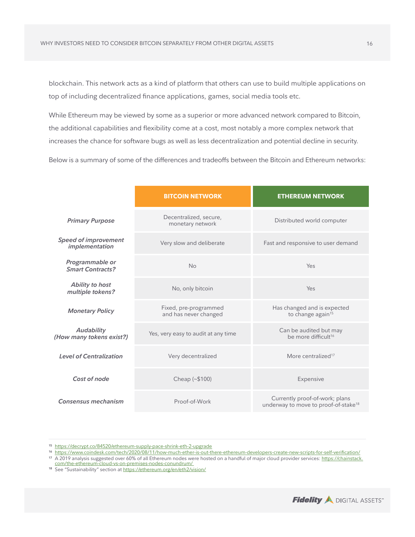blockchain. This network acts as a kind of platform that others can use to build multiple applications on top of including decentralized finance applications, games, social media tools etc.

While Ethereum may be viewed by some as a superior or more advanced network compared to Bitcoin, the additional capabilities and flexibility come at a cost, most notably a more complex network that increases the chance for software bugs as well as less decentralization and potential decline in security.

Below is a summary of some of the differences and tradeoffs between the Bitcoin and Ethereum networks:

|                                               | <b>BITCOIN NETWORK</b>                         | <b>ETHEREUM NETWORK</b>                                                            |
|-----------------------------------------------|------------------------------------------------|------------------------------------------------------------------------------------|
| <b>Primary Purpose</b>                        | Decentralized, secure,<br>monetary network     | Distributed world computer                                                         |
| <b>Speed of improvement</b><br>implementation | Very slow and deliberate                       | Fast and responsive to user demand                                                 |
| Programmable or<br><b>Smart Contracts?</b>    | No<br>No, only bitcoin                         | Yes                                                                                |
| <b>Ability to host</b><br>multiple tokens?    |                                                | Yes                                                                                |
| <b>Monetary Policy</b>                        | Fixed, pre-programmed<br>and has never changed | Has changed and is expected<br>to change again <sup>15</sup>                       |
| <b>Audability</b><br>(How many tokens exist?) | Yes, very easy to audit at any time            | Can be audited but may<br>be more difficult <sup>16</sup>                          |
| <b>Level of Centralization</b>                | Very decentralized                             | More centralized <sup>17</sup>                                                     |
| Cost of node                                  | Cheap (~\$100)                                 | Expensive                                                                          |
| Consensus mechanism                           | Proof-of-Work                                  | Currently proof-of-work; plans<br>underway to move to proof-of-stake <sup>18</sup> |



**<sup>15</sup>** <https://decrypt.co/84520/ethereum-supply-pace-shrink-eth-2-upgrade>

<sup>16</sup> <https://www.coindesk.com/tech/2020/08/11/how-much-ether-is-out-there-ethereum-developers-create-new-scripts-for-self-verification/>

<sup>&</sup>lt;sup>17</sup> A 2019 analysis suggested over 60% of all Ethereum nodes were hosted on a handful of major cloud provider services: [https://chainstack.](https://chainstack.com/the-ethereum-cloud-vs-on-premises-nodes-conundrum/ )<br>com/the-ethereum-cloud-vs-on-premises-nodes-conundrum/

**<sup>18</sup>** See "Sustainability" section at <https://ethereum.org/en/eth2/vision/>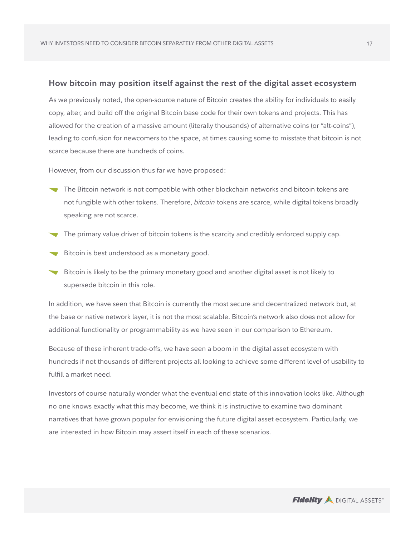# **How bitcoin may position itself against the rest of the digital asset ecosystem**

As we previously noted, the open-source nature of Bitcoin creates the ability for individuals to easily copy, alter, and build off the original Bitcoin base code for their own tokens and projects. This has allowed for the creation of a massive amount (literally thousands) of alternative coins (or "alt-coins"), leading to confusion for newcomers to the space, at times causing some to misstate that bitcoin is not scarce because there are hundreds of coins.

However, from our discussion thus far we have proposed:

- The Bitcoin network is not compatible with other blockchain networks and bitcoin tokens are not fungible with other tokens. Therefore, *bitcoin* tokens are scarce, while digital tokens broadly speaking are not scarce.
- The primary value driver of bitcoin tokens is the scarcity and credibly enforced supply cap.
- Bitcoin is best understood as a monetary good.
- Bitcoin is likely to be the primary monetary good and another digital asset is not likely to supersede bitcoin in this role.

In addition, we have seen that Bitcoin is currently the most secure and decentralized network but, at the base or native network layer, it is not the most scalable. Bitcoin's network also does not allow for additional functionality or programmability as we have seen in our comparison to Ethereum.

Because of these inherent trade-offs, we have seen a boom in the digital asset ecosystem with hundreds if not thousands of different projects all looking to achieve some different level of usability to fulfill a market need.

Investors of course naturally wonder what the eventual end state of this innovation looks like. Although no one knows exactly what this may become, we think it is instructive to examine two dominant narratives that have grown popular for envisioning the future digital asset ecosystem. Particularly, we are interested in how Bitcoin may assert itself in each of these scenarios.

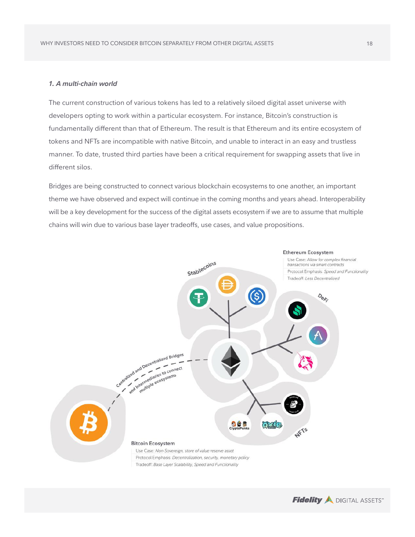## *1. A multi-chain world*

The current construction of various tokens has led to a relatively siloed digital asset universe with developers opting to work within a particular ecosystem. For instance, Bitcoin's construction is fundamentally different than that of Ethereum. The result is that Ethereum and its entire ecosystem of tokens and NFTs are incompatible with native Bitcoin, and unable to interact in an easy and trustless manner. To date, trusted third parties have been a critical requirement for swapping assets that live in different silos.

Bridges are being constructed to connect various blockchain ecosystems to one another, an important theme we have observed and expect will continue in the coming months and years ahead. Interoperability will be a key development for the success of the digital assets ecosystem if we are to assume that multiple chains will win due to various base layer tradeoffs, use cases, and value propositions.



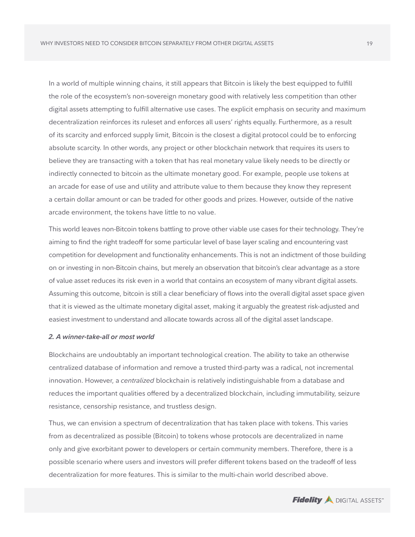In a world of multiple winning chains, it still appears that Bitcoin is likely the best equipped to fulfill the role of the ecosystem's non-sovereign monetary good with relatively less competition than other digital assets attempting to fulfill alternative use cases. The explicit emphasis on security and maximum decentralization reinforces its ruleset and enforces all users' rights equally. Furthermore, as a result of its scarcity and enforced supply limit, Bitcoin is the closest a digital protocol could be to enforcing absolute scarcity. In other words, any project or other blockchain network that requires its users to believe they are transacting with a token that has real monetary value likely needs to be directly or indirectly connected to bitcoin as the ultimate monetary good. For example, people use tokens at an arcade for ease of use and utility and attribute value to them because they know they represent a certain dollar amount or can be traded for other goods and prizes. However, outside of the native arcade environment, the tokens have little to no value.

This world leaves non-Bitcoin tokens battling to prove other viable use cases for their technology. They're aiming to find the right tradeoff for some particular level of base layer scaling and encountering vast competition for development and functionality enhancements. This is not an indictment of those building on or investing in non-Bitcoin chains, but merely an observation that bitcoin's clear advantage as a store of value asset reduces its risk even in a world that contains an ecosystem of many vibrant digital assets. Assuming this outcome, bitcoin is still a clear beneficiary of flows into the overall digital asset space given that it is viewed as the ultimate monetary digital asset, making it arguably the greatest risk-adjusted and easiest investment to understand and allocate towards across all of the digital asset landscape.

#### *2. A winner-take-all or most world*

Blockchains are undoubtably an important technological creation. The ability to take an otherwise centralized database of information and remove a trusted third-party was a radical, not incremental innovation. However, a *centralized* blockchain is relatively indistinguishable from a database and reduces the important qualities offered by a decentralized blockchain, including immutability, seizure resistance, censorship resistance, and trustless design.

Thus, we can envision a spectrum of decentralization that has taken place with tokens. This varies from as decentralized as possible (Bitcoin) to tokens whose protocols are decentralized in name only and give exorbitant power to developers or certain community members. Therefore, there is a possible scenario where users and investors will prefer different tokens based on the tradeoff of less decentralization for more features. This is similar to the multi-chain world described above.

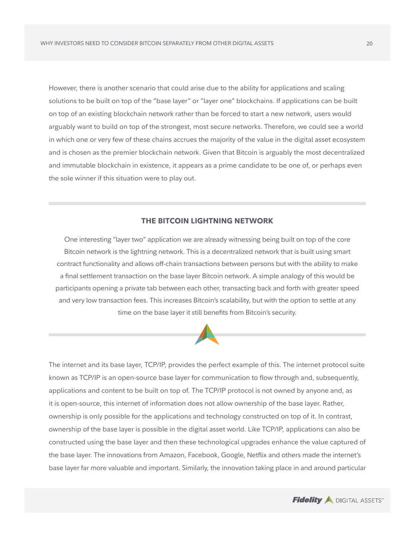However, there is another scenario that could arise due to the ability for applications and scaling solutions to be built on top of the "base layer" or "layer one" blockchains. If applications can be built on top of an existing blockchain network rather than be forced to start a new network, users would arguably want to build on top of the strongest, most secure networks. Therefore, we could see a world in which one or very few of these chains accrues the majority of the value in the digital asset ecosystem and is chosen as the premier blockchain network. Given that Bitcoin is arguably the most decentralized and immutable blockchain in existence, it appears as a prime candidate to be one of, or perhaps even the sole winner if this situation were to play out.

# **THE BITCOIN LIGHTNING NETWORK**

One interesting "layer two" application we are already witnessing being built on top of the core Bitcoin network is the lightning network. This is a decentralized network that is built using smart contract functionality and allows off-chain transactions between persons but with the ability to make a final settlement transaction on the base layer Bitcoin network. A simple analogy of this would be participants opening a private tab between each other, transacting back and forth with greater speed and very low transaction fees. This increases Bitcoin's scalability, but with the option to settle at any time on the base layer it still benefits from Bitcoin's security.



The internet and its base layer, TCP/IP, provides the perfect example of this. The internet protocol suite known as TCP/IP is an open-source base layer for communication to flow through and, subsequently, applications and content to be built on top of. The TCP/IP protocol is not owned by anyone and, as it is open-source, this internet of information does not allow ownership of the base layer. Rather, ownership is only possible for the applications and technology constructed on top of it. In contrast, ownership of the base layer is possible in the digital asset world. Like TCP/IP, applications can also be constructed using the base layer and then these technological upgrades enhance the value captured of the base layer. The innovations from Amazon, Facebook, Google, Netflix and others made the internet's base layer far more valuable and important. Similarly, the innovation taking place in and around particular

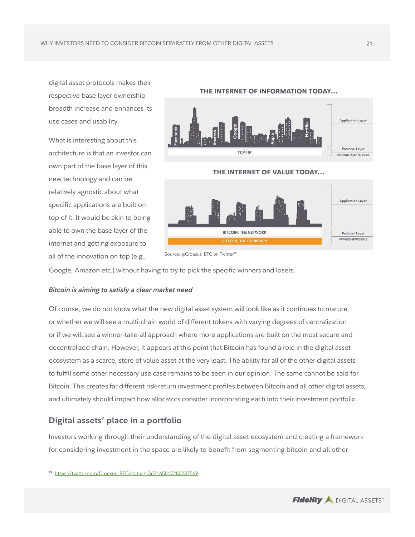digital asset protocols makes their respective base layer ownership breadth increase and enhances its use cases and usability.

What is interesting about this architecture is that an investor can own part of the base layer of this new technology and can be relatively agnostic about what specific applications are built on top of it. It would be akin to being able to own the base layer of the internet and getting exposure to all of the innovation on top (e.g.,



Source: @Croesus\_BTC on Twitter<sup>19</sup>

Google, Amazon etc.) without having to try to pick the specific winners and losers.

## *Bitcoin is aiming to satisfy a clear market need*

Of course, we do not know what the new digital asset system will look like as it continues to mature, or whether we will see a multi-chain world of different tokens with varying degrees of centralization or if we will see a winner-take-all approach where more applications are built on the most secure and decentralized chain. However, it appears at this point that Bitcoin has found a role in the digital asset ecosystem as a scarce, store of value asset at the very least. The ability for all of the other digital assets to fulfill some other necessary use case remains to be seen in our opinion. The same cannot be said for Bitcoin. This creates far different risk-return investment profiles between Bitcoin and all other digital assets, and ultimately should impact how allocators consider incorporating each into their investment portfolio.

# **Digital assets' place in a portfolio**

Investors working through their understanding of the digital asset ecosystem and creating a framework for considering investment in the space are likely to benefit from segmenting bitcoin and all other



**<sup>19</sup>** https://twitter.com/Croesus\_BTC/status/1367165017280237569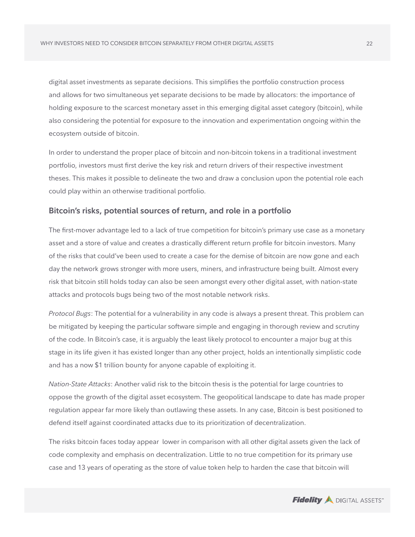digital asset investments as separate decisions. This simplifies the portfolio construction process and allows for two simultaneous yet separate decisions to be made by allocators: the importance of holding exposure to the scarcest monetary asset in this emerging digital asset category (bitcoin), while also considering the potential for exposure to the innovation and experimentation ongoing within the ecosystem outside of bitcoin.

In order to understand the proper place of bitcoin and non-bitcoin tokens in a traditional investment portfolio, investors must first derive the key risk and return drivers of their respective investment theses. This makes it possible to delineate the two and draw a conclusion upon the potential role each could play within an otherwise traditional portfolio.

# **Bitcoin's risks, potential sources of return, and role in a portfolio**

The first-mover advantage led to a lack of true competition for bitcoin's primary use case as a monetary asset and a store of value and creates a drastically different return profile for bitcoin investors. Many of the risks that could've been used to create a case for the demise of bitcoin are now gone and each day the network grows stronger with more users, miners, and infrastructure being built. Almost every risk that bitcoin still holds today can also be seen amongst every other digital asset, with nation-state attacks and protocols bugs being two of the most notable network risks.

*Protocol Bugs*: The potential for a vulnerability in any code is always a present threat. This problem can be mitigated by keeping the particular software simple and engaging in thorough review and scrutiny of the code. In Bitcoin's case, it is arguably the least likely protocol to encounter a major bug at this stage in its life given it has existed longer than any other project, holds an intentionally simplistic code and has a now \$1 trillion bounty for anyone capable of exploiting it.

*Nation-State Attacks*: Another valid risk to the bitcoin thesis is the potential for large countries to oppose the growth of the digital asset ecosystem. The geopolitical landscape to date has made proper regulation appear far more likely than outlawing these assets. In any case, Bitcoin is best positioned to defend itself against coordinated attacks due to its prioritization of decentralization.

The risks bitcoin faces today appear lower in comparison with all other digital assets given the lack of code complexity and emphasis on decentralization. Little to no true competition for its primary use case and 13 years of operating as the store of value token help to harden the case that bitcoin will

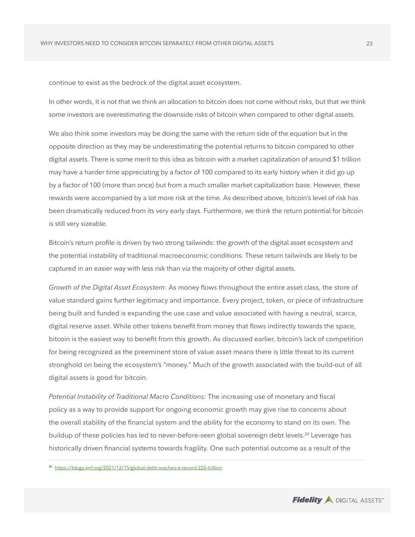continue to exist as the bedrock of the digital asset ecosystem.

In other words, it is not that we think an allocation to bitcoin does not come without risks, but that we think some investors are overestimating the downside risks of bitcoin when compared to other digital assets.

We also think some investors may be doing the same with the return side of the equation but in the opposite direction as they may be underestimating the potential returns to bitcoin compared to other digital assets. There is some merit to this idea as bitcoin with a market capitalization of around \$1 trillion may have a harder time appreciating by a factor of 100 compared to its early history when it did go up by a factor of 100 (more than once) but from a much smaller market capitalization base. However, these rewards were accompanied by a lot more risk at the time. As described above, bitcoin's level of risk has been dramatically reduced from its very early days. Furthermore, we think the return potential for bitcoin is still very sizeable.

Bitcoin's return profile is driven by two strong tailwinds: the growth of the digital asset ecosystem and the potential instability of traditional macroeconomic conditions. These return tailwinds are likely to be captured in an easier way with less risk than via the majority of other digital assets.

*Growth of the Digital Asset Ecosystem*: As money flows throughout the entire asset class, the store of value standard gains further legitimacy and importance. Every project, token, or piece of infrastructure being built and funded is expanding the use case and value associated with having a neutral, scarce, digital reserve asset. While other tokens benefit from money that flows indirectly towards the space, bitcoin is the easiest way to benefit from this growth. As discussed earlier, bitcoin's lack of competition for being recognized as the preeminent store of value asset means there is little threat to its current stronghold on being the ecosystem's "money." Much of the growth associated with the build-out of all digital assets is good for bitcoin.

*Potential Instability of Traditional Macro Conditions:* The increasing use of monetary and fiscal policy as a way to provide support for ongoing economic growth may give rise to concerns about the overall stability of the financial system and the ability for the economy to stand on its own. The buildup of these policies has led to never-before-seen global sovereign debt levels.<sup>20</sup> Leverage has historically driven financial systems towards fragility. One such potential outcome as a result of the



**<sup>20</sup>** <https://blogs.imf.org/2021/12/15/global-debt-reaches-a-record-226-trillion>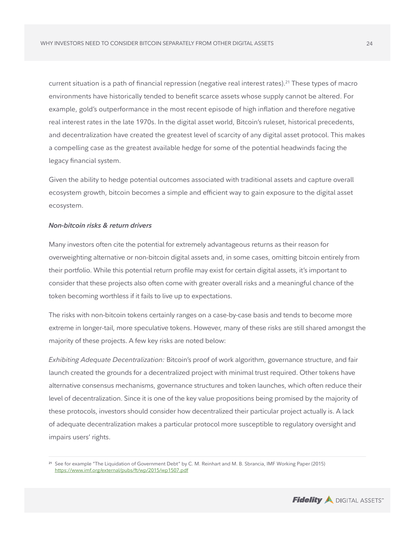current situation is a path of financial repression (negative real interest rates).21 These types of macro environments have historically tended to benefit scarce assets whose supply cannot be altered. For example, gold's outperformance in the most recent episode of high inflation and therefore negative real interest rates in the late 1970s. In the digital asset world, Bitcoin's ruleset, historical precedents, and decentralization have created the greatest level of scarcity of any digital asset protocol. This makes a compelling case as the greatest available hedge for some of the potential headwinds facing the legacy financial system.

Given the ability to hedge potential outcomes associated with traditional assets and capture overall ecosystem growth, bitcoin becomes a simple and efficient way to gain exposure to the digital asset ecosystem.

#### *Non-bitcoin risks & return drivers*

Many investors often cite the potential for extremely advantageous returns as their reason for overweighting alternative or non-bitcoin digital assets and, in some cases, omitting bitcoin entirely from their portfolio. While this potential return profile may exist for certain digital assets, it's important to consider that these projects also often come with greater overall risks and a meaningful chance of the token becoming worthless if it fails to live up to expectations.

The risks with non-bitcoin tokens certainly ranges on a case-by-case basis and tends to become more extreme in longer-tail, more speculative tokens. However, many of these risks are still shared amongst the majority of these projects. A few key risks are noted below:

*Exhibiting Adequate Decentralization:* Bitcoin's proof of work algorithm, governance structure, and fair launch created the grounds for a decentralized project with minimal trust required. Other tokens have alternative consensus mechanisms, governance structures and token launches, which often reduce their level of decentralization. Since it is one of the key value propositions being promised by the majority of these protocols, investors should consider how decentralized their particular project actually is. A lack of adequate decentralization makes a particular protocol more susceptible to regulatory oversight and impairs users' rights.



**<sup>21</sup>** See for example "The Liquidation of Government Debt" by C. M. Reinhart and M. B. Sbrancia, IMF Working Paper (2015) https://www.imf.[org/external/pubs/ft/wp/2015/wp1507.pdf](https://www.imf.org/external/pubs/ft/wp/2015/wp1507.pdf)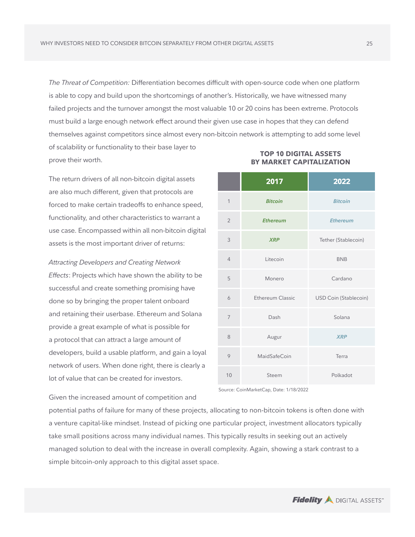*The Threat of Competition:* Differentiation becomes difficult with open-source code when one platform is able to copy and build upon the shortcomings of another's. Historically, we have witnessed many failed projects and the turnover amongst the most valuable 10 or 20 coins has been extreme. Protocols must build a large enough network effect around their given use case in hopes that they can defend themselves against competitors since almost every non-bitcoin network is attempting to add some level

of scalability or functionality to their base layer to prove their worth.

The return drivers of all non-bitcoin digital assets are also much different, given that protocols are forced to make certain tradeoffs to enhance speed, functionality, and other characteristics to warrant a use case. Encompassed within all non-bitcoin digital assets is the most important driver of returns:

*Attracting Developers and Creating Network Effects*: Projects which have shown the ability to be successful and create something promising have done so by bringing the proper talent onboard and retaining their userbase. Ethereum and Solana provide a great example of what is possible for a protocol that can attract a large amount of developers, build a usable platform, and gain a loyal network of users. When done right, there is clearly a lot of value that can be created for investors.

|                | 2017             | 2022                         |
|----------------|------------------|------------------------------|
| $\mathbf{1}$   | <b>Bitcoin</b>   | <b>Bitcoin</b>               |
| $\overline{2}$ | <b>Ethereum</b>  | <b>Ethereum</b>              |
| 3              | <b>XRP</b>       | Tether (Stablecoin)          |
| $\overline{4}$ | Litecoin         | <b>BNB</b>                   |
| 5              | Monero           | Cardano                      |
| 6              | Ethereum Classic | <b>USD Coin (Stablecoin)</b> |
| $\overline{7}$ | Dash             | Solana                       |
| 8              | Augur            | <b>XRP</b>                   |
| 9              | MaidSafeCoin     | Terra                        |
| 10             | Steem            | Polkadot                     |

# **TOP 10 DIGITAL ASSETS BY MARKET CAPITALIZATION**

Source: CoinMarketCap, Date: 1/18/2022

Given the increased amount of competition and

potential paths of failure for many of these projects, allocating to non-bitcoin tokens is often done with a venture capital-like mindset. Instead of picking one particular project, investment allocators typically take small positions across many individual names. This typically results in seeking out an actively managed solution to deal with the increase in overall complexity. Again, showing a stark contrast to a simple bitcoin-only approach to this digital asset space.